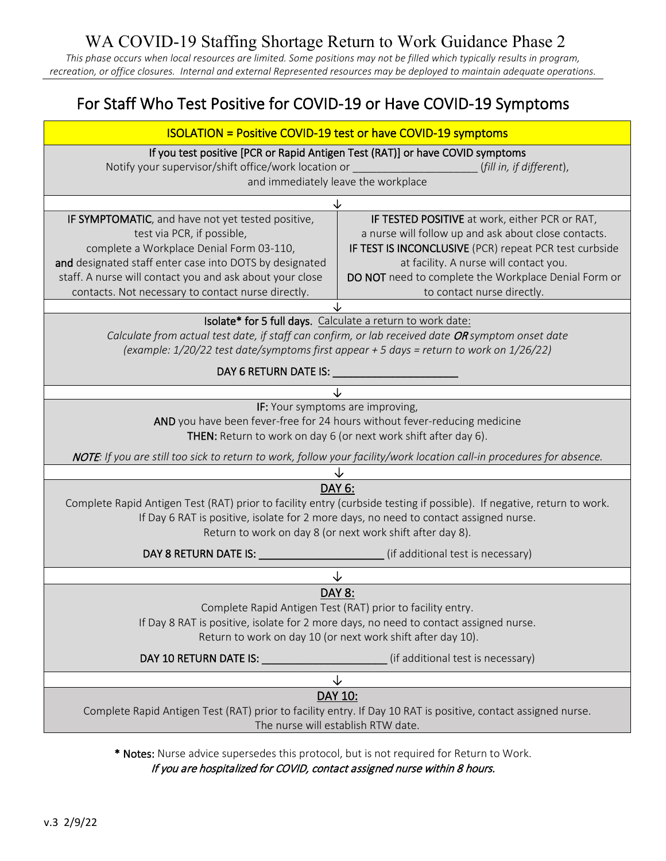## WA COVID-19 Staffing Shortage Return to Work Guidance Phase 2

*This phase occurs when local resources are limited. Some positions may not be filled which typically results in program, recreation, or office closures. Internal and external Represented resources may be deployed to maintain adequate operations.*

# For Staff Who Test Positive for COVID-19 or Have COVID-19 Symptoms

| If you test positive [PCR or Rapid Antigen Test (RAT)] or have COVID symptoms<br>Notify your supervisor/shift office/work location or<br>(fill in, if different),<br>and immediately leave the workplace<br>↓<br>IF SYMPTOMATIC, and have not yet tested positive,<br>IF TESTED POSITIVE at work, either PCR or RAT,<br>test via PCR, if possible,<br>a nurse will follow up and ask about close contacts.<br>IF TEST IS INCONCLUSIVE (PCR) repeat PCR test curbside<br>complete a Workplace Denial Form 03-110,<br>and designated staff enter case into DOTS by designated<br>at facility. A nurse will contact you.<br>staff. A nurse will contact you and ask about your close<br>DO NOT need to complete the Workplace Denial Form or<br>to contact nurse directly.<br>contacts. Not necessary to contact nurse directly.<br>Isolate* for 5 full days. Calculate a return to work date:<br>Calculate from actual test date, if staff can confirm, or lab received date OR symptom onset date<br>(example: 1/20/22 test date/symptoms first appear + 5 days = return to work on 1/26/22)<br>IF: Your symptoms are improving,<br>AND you have been fever-free for 24 hours without fever-reducing medicine<br>THEN: Return to work on day 6 (or next work shift after day 6).<br>NOTE: If you are still too sick to return to work, follow your facility/work location call-in procedures for absence.<br>DAY 6:<br>Complete Rapid Antigen Test (RAT) prior to facility entry (curbside testing if possible). If negative, return to work.<br>If Day 6 RAT is positive, isolate for 2 more days, no need to contact assigned nurse.<br>Return to work on day 8 (or next work shift after day 8).<br>↓<br>DAY 8:<br>Complete Rapid Antigen Test (RAT) prior to facility entry.<br>If Day 8 RAT is positive, isolate for 2 more days, no need to contact assigned nurse.<br>Return to work on day 10 (or next work shift after day 10).<br>(if additional test is necessary)<br>DAY 10 RETURN DATE IS: University of the UA<br>↓<br>DAY 10:<br>Complete Rapid Antigen Test (RAT) prior to facility entry. If Day 10 RAT is positive, contact assigned nurse.<br>The nurse will establish RTW date. | <b>ISOLATION = Positive COVID-19 test or have COVID-19 symptoms</b> |  |  |
|----------------------------------------------------------------------------------------------------------------------------------------------------------------------------------------------------------------------------------------------------------------------------------------------------------------------------------------------------------------------------------------------------------------------------------------------------------------------------------------------------------------------------------------------------------------------------------------------------------------------------------------------------------------------------------------------------------------------------------------------------------------------------------------------------------------------------------------------------------------------------------------------------------------------------------------------------------------------------------------------------------------------------------------------------------------------------------------------------------------------------------------------------------------------------------------------------------------------------------------------------------------------------------------------------------------------------------------------------------------------------------------------------------------------------------------------------------------------------------------------------------------------------------------------------------------------------------------------------------------------------------------------------------------------------------------------------------------------------------------------------------------------------------------------------------------------------------------------------------------------------------------------------------------------------------------------------------------------------------------------------------------------------------------------------------------------------------------------------------------------------------------------------------------------------------------------------|---------------------------------------------------------------------|--|--|
|                                                                                                                                                                                                                                                                                                                                                                                                                                                                                                                                                                                                                                                                                                                                                                                                                                                                                                                                                                                                                                                                                                                                                                                                                                                                                                                                                                                                                                                                                                                                                                                                                                                                                                                                                                                                                                                                                                                                                                                                                                                                                                                                                                                                    |                                                                     |  |  |
|                                                                                                                                                                                                                                                                                                                                                                                                                                                                                                                                                                                                                                                                                                                                                                                                                                                                                                                                                                                                                                                                                                                                                                                                                                                                                                                                                                                                                                                                                                                                                                                                                                                                                                                                                                                                                                                                                                                                                                                                                                                                                                                                                                                                    |                                                                     |  |  |
|                                                                                                                                                                                                                                                                                                                                                                                                                                                                                                                                                                                                                                                                                                                                                                                                                                                                                                                                                                                                                                                                                                                                                                                                                                                                                                                                                                                                                                                                                                                                                                                                                                                                                                                                                                                                                                                                                                                                                                                                                                                                                                                                                                                                    |                                                                     |  |  |
|                                                                                                                                                                                                                                                                                                                                                                                                                                                                                                                                                                                                                                                                                                                                                                                                                                                                                                                                                                                                                                                                                                                                                                                                                                                                                                                                                                                                                                                                                                                                                                                                                                                                                                                                                                                                                                                                                                                                                                                                                                                                                                                                                                                                    |                                                                     |  |  |
|                                                                                                                                                                                                                                                                                                                                                                                                                                                                                                                                                                                                                                                                                                                                                                                                                                                                                                                                                                                                                                                                                                                                                                                                                                                                                                                                                                                                                                                                                                                                                                                                                                                                                                                                                                                                                                                                                                                                                                                                                                                                                                                                                                                                    |                                                                     |  |  |
|                                                                                                                                                                                                                                                                                                                                                                                                                                                                                                                                                                                                                                                                                                                                                                                                                                                                                                                                                                                                                                                                                                                                                                                                                                                                                                                                                                                                                                                                                                                                                                                                                                                                                                                                                                                                                                                                                                                                                                                                                                                                                                                                                                                                    |                                                                     |  |  |
|                                                                                                                                                                                                                                                                                                                                                                                                                                                                                                                                                                                                                                                                                                                                                                                                                                                                                                                                                                                                                                                                                                                                                                                                                                                                                                                                                                                                                                                                                                                                                                                                                                                                                                                                                                                                                                                                                                                                                                                                                                                                                                                                                                                                    |                                                                     |  |  |
|                                                                                                                                                                                                                                                                                                                                                                                                                                                                                                                                                                                                                                                                                                                                                                                                                                                                                                                                                                                                                                                                                                                                                                                                                                                                                                                                                                                                                                                                                                                                                                                                                                                                                                                                                                                                                                                                                                                                                                                                                                                                                                                                                                                                    |                                                                     |  |  |
|                                                                                                                                                                                                                                                                                                                                                                                                                                                                                                                                                                                                                                                                                                                                                                                                                                                                                                                                                                                                                                                                                                                                                                                                                                                                                                                                                                                                                                                                                                                                                                                                                                                                                                                                                                                                                                                                                                                                                                                                                                                                                                                                                                                                    |                                                                     |  |  |
|                                                                                                                                                                                                                                                                                                                                                                                                                                                                                                                                                                                                                                                                                                                                                                                                                                                                                                                                                                                                                                                                                                                                                                                                                                                                                                                                                                                                                                                                                                                                                                                                                                                                                                                                                                                                                                                                                                                                                                                                                                                                                                                                                                                                    |                                                                     |  |  |
|                                                                                                                                                                                                                                                                                                                                                                                                                                                                                                                                                                                                                                                                                                                                                                                                                                                                                                                                                                                                                                                                                                                                                                                                                                                                                                                                                                                                                                                                                                                                                                                                                                                                                                                                                                                                                                                                                                                                                                                                                                                                                                                                                                                                    |                                                                     |  |  |
|                                                                                                                                                                                                                                                                                                                                                                                                                                                                                                                                                                                                                                                                                                                                                                                                                                                                                                                                                                                                                                                                                                                                                                                                                                                                                                                                                                                                                                                                                                                                                                                                                                                                                                                                                                                                                                                                                                                                                                                                                                                                                                                                                                                                    |                                                                     |  |  |
|                                                                                                                                                                                                                                                                                                                                                                                                                                                                                                                                                                                                                                                                                                                                                                                                                                                                                                                                                                                                                                                                                                                                                                                                                                                                                                                                                                                                                                                                                                                                                                                                                                                                                                                                                                                                                                                                                                                                                                                                                                                                                                                                                                                                    |                                                                     |  |  |
|                                                                                                                                                                                                                                                                                                                                                                                                                                                                                                                                                                                                                                                                                                                                                                                                                                                                                                                                                                                                                                                                                                                                                                                                                                                                                                                                                                                                                                                                                                                                                                                                                                                                                                                                                                                                                                                                                                                                                                                                                                                                                                                                                                                                    |                                                                     |  |  |
|                                                                                                                                                                                                                                                                                                                                                                                                                                                                                                                                                                                                                                                                                                                                                                                                                                                                                                                                                                                                                                                                                                                                                                                                                                                                                                                                                                                                                                                                                                                                                                                                                                                                                                                                                                                                                                                                                                                                                                                                                                                                                                                                                                                                    |                                                                     |  |  |
|                                                                                                                                                                                                                                                                                                                                                                                                                                                                                                                                                                                                                                                                                                                                                                                                                                                                                                                                                                                                                                                                                                                                                                                                                                                                                                                                                                                                                                                                                                                                                                                                                                                                                                                                                                                                                                                                                                                                                                                                                                                                                                                                                                                                    |                                                                     |  |  |

**Notes:** Nurse advice supersedes this protocol, but is not required for Return to Work.

If you are hospitalized for COVID, contact assigned nurse within 8 hours.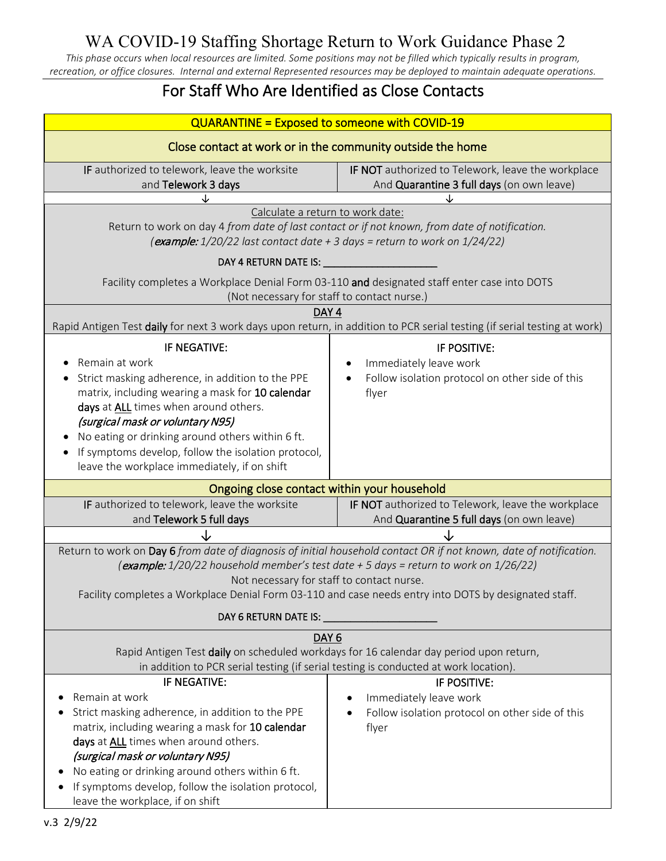# WA COVID-19 Staffing Shortage Return to Work Guidance Phase 2

*This phase occurs when local resources are limited. Some positions may not be filled which typically results in program, recreation, or office closures. Internal and external Represented resources may be deployed to maintain adequate operations.*

## For Staff Who Are Identified as Close Contacts

| <b>QUARANTINE = Exposed to someone with COVID-19</b>                                                                                                                                                           |                                                                                      |  |
|----------------------------------------------------------------------------------------------------------------------------------------------------------------------------------------------------------------|--------------------------------------------------------------------------------------|--|
| Close contact at work or in the community outside the home                                                                                                                                                     |                                                                                      |  |
| IF authorized to telework, leave the worksite                                                                                                                                                                  | IF NOT authorized to Telework, leave the workplace                                   |  |
| and Telework 3 days                                                                                                                                                                                            | And Quarantine 3 full days (on own leave)                                            |  |
|                                                                                                                                                                                                                |                                                                                      |  |
| Calculate a return to work date:<br>Return to work on day 4 from date of last contact or if not known, from date of notification.<br>(example: 1/20/22 last contact date + 3 days = return to work on 1/24/22) |                                                                                      |  |
| DAY 4 RETURN DATE IS: __                                                                                                                                                                                       |                                                                                      |  |
| Facility completes a Workplace Denial Form 03-110 and designated staff enter case into DOTS<br>(Not necessary for staff to contact nurse.)                                                                     |                                                                                      |  |
| DAY <sub>4</sub>                                                                                                                                                                                               |                                                                                      |  |
| Rapid Antigen Test daily for next 3 work days upon return, in addition to PCR serial testing (if serial testing at work)                                                                                       |                                                                                      |  |
| IF NEGATIVE:                                                                                                                                                                                                   | IF POSITIVE:                                                                         |  |
| Remain at work                                                                                                                                                                                                 | Immediately leave work                                                               |  |
| Strict masking adherence, in addition to the PPE                                                                                                                                                               | Follow isolation protocol on other side of this                                      |  |
| matrix, including wearing a mask for 10 calendar                                                                                                                                                               | flyer                                                                                |  |
| days at ALL times when around others.                                                                                                                                                                          |                                                                                      |  |
| (surgical mask or voluntary N95)                                                                                                                                                                               |                                                                                      |  |
| No eating or drinking around others within 6 ft.                                                                                                                                                               |                                                                                      |  |
| If symptoms develop, follow the isolation protocol,                                                                                                                                                            |                                                                                      |  |
| leave the workplace immediately, if on shift                                                                                                                                                                   |                                                                                      |  |
| Ongoing close contact within your household                                                                                                                                                                    |                                                                                      |  |
| IF authorized to telework, leave the worksite                                                                                                                                                                  | IF NOT authorized to Telework, leave the workplace                                   |  |
| and Telework 5 full days                                                                                                                                                                                       | And Quarantine 5 full days (on own leave)                                            |  |
|                                                                                                                                                                                                                |                                                                                      |  |
| Return to work on Day 6 from date of diagnosis of initial household contact OR if not known, date of notification.                                                                                             |                                                                                      |  |
|                                                                                                                                                                                                                | (example: 1/20/22 household member's test date + 5 days = return to work on 1/26/22) |  |
| Not necessary for staff to contact nurse.                                                                                                                                                                      |                                                                                      |  |
| Facility completes a Workplace Denial Form 03-110 and case needs entry into DOTS by designated staff.                                                                                                          |                                                                                      |  |
| DAY 6 RETURN DATE IS: University of the U.S. Party of the U.S. Party of the U.S. Party of the U.S. P                                                                                                           |                                                                                      |  |
| DAY <sub>6</sub>                                                                                                                                                                                               |                                                                                      |  |
| Rapid Antigen Test daily on scheduled workdays for 16 calendar day period upon return,                                                                                                                         |                                                                                      |  |
| in addition to PCR serial testing (if serial testing is conducted at work location).                                                                                                                           |                                                                                      |  |
| IF NEGATIVE:                                                                                                                                                                                                   | IF POSITIVE:                                                                         |  |
| Remain at work                                                                                                                                                                                                 | Immediately leave work                                                               |  |
| Strict masking adherence, in addition to the PPE                                                                                                                                                               | Follow isolation protocol on other side of this                                      |  |
| matrix, including wearing a mask for 10 calendar                                                                                                                                                               | flyer                                                                                |  |
| days at ALL times when around others.                                                                                                                                                                          |                                                                                      |  |
| (surgical mask or voluntary N95)                                                                                                                                                                               |                                                                                      |  |
| No eating or drinking around others within 6 ft.                                                                                                                                                               |                                                                                      |  |
| If symptoms develop, follow the isolation protocol,                                                                                                                                                            |                                                                                      |  |
| leave the workplace, if on shift                                                                                                                                                                               |                                                                                      |  |